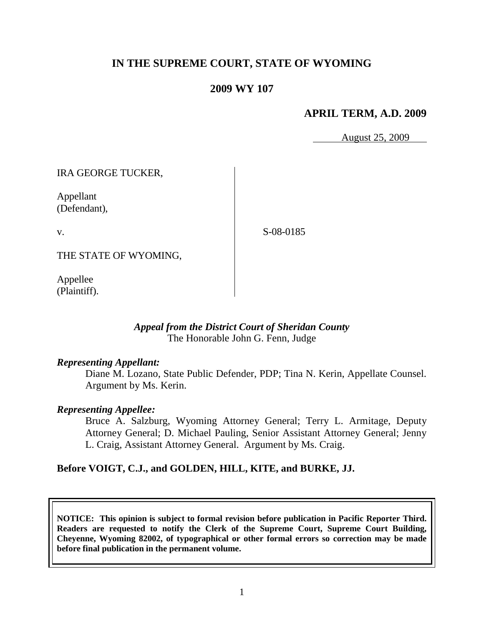# **IN THE SUPREME COURT, STATE OF WYOMING**

## **2009 WY 107**

### **APRIL TERM, A.D. 2009**

August 25, 2009

IRA GEORGE TUCKER,

Appellant (Defendant),

v.

S-08-0185

THE STATE OF WYOMING,

Appellee (Plaintiff).

### *Appeal from the District Court of Sheridan County* The Honorable John G. Fenn, Judge

#### *Representing Appellant:*

Diane M. Lozano, State Public Defender, PDP; Tina N. Kerin, Appellate Counsel. Argument by Ms. Kerin.

#### *Representing Appellee:*

Bruce A. Salzburg, Wyoming Attorney General; Terry L. Armitage, Deputy Attorney General; D. Michael Pauling, Senior Assistant Attorney General; Jenny L. Craig, Assistant Attorney General. Argument by Ms. Craig.

### **Before VOIGT, C.J., and GOLDEN, HILL, KITE, and BURKE, JJ.**

**NOTICE: This opinion is subject to formal revision before publication in Pacific Reporter Third. Readers are requested to notify the Clerk of the Supreme Court, Supreme Court Building, Cheyenne, Wyoming 82002, of typographical or other formal errors so correction may be made before final publication in the permanent volume.**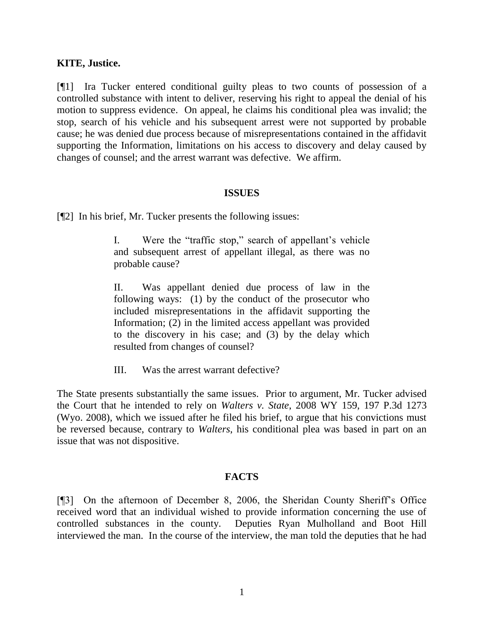#### **KITE, Justice.**

[¶1] Ira Tucker entered conditional guilty pleas to two counts of possession of a controlled substance with intent to deliver, reserving his right to appeal the denial of his motion to suppress evidence. On appeal, he claims his conditional plea was invalid; the stop, search of his vehicle and his subsequent arrest were not supported by probable cause; he was denied due process because of misrepresentations contained in the affidavit supporting the Information, limitations on his access to discovery and delay caused by changes of counsel; and the arrest warrant was defective. We affirm.

#### **ISSUES**

[¶2] In his brief, Mr. Tucker presents the following issues:

I. Were the "traffic stop," search of appellant's vehicle and subsequent arrest of appellant illegal, as there was no probable cause?

II. Was appellant denied due process of law in the following ways: (1) by the conduct of the prosecutor who included misrepresentations in the affidavit supporting the Information; (2) in the limited access appellant was provided to the discovery in his case; and (3) by the delay which resulted from changes of counsel?

III. Was the arrest warrant defective?

The State presents substantially the same issues. Prior to argument, Mr. Tucker advised the Court that he intended to rely on *Walters v. State*, 2008 WY 159, 197 P.3d 1273 (Wyo. 2008), which we issued after he filed his brief, to argue that his convictions must be reversed because, contrary to *Walters*, his conditional plea was based in part on an issue that was not dispositive.

#### **FACTS**

[¶3] On the afternoon of December 8, 2006, the Sheridan County Sheriff's Office received word that an individual wished to provide information concerning the use of controlled substances in the county. Deputies Ryan Mulholland and Boot Hill interviewed the man. In the course of the interview, the man told the deputies that he had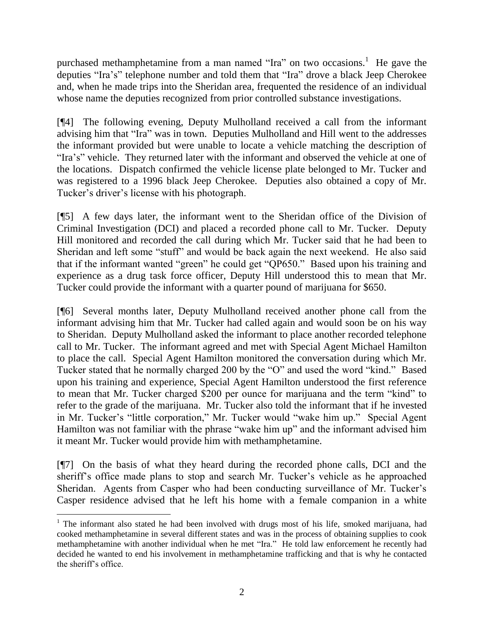purchased methamphetamine from a man named "Ira" on two occasions.<sup>1</sup> He gave the deputies "Ira's" telephone number and told them that "Ira" drove a black Jeep Cherokee and, when he made trips into the Sheridan area, frequented the residence of an individual whose name the deputies recognized from prior controlled substance investigations.

[¶4] The following evening, Deputy Mulholland received a call from the informant advising him that "Ira" was in town. Deputies Mulholland and Hill went to the addresses the informant provided but were unable to locate a vehicle matching the description of "Ira's" vehicle. They returned later with the informant and observed the vehicle at one of the locations. Dispatch confirmed the vehicle license plate belonged to Mr. Tucker and was registered to a 1996 black Jeep Cherokee. Deputies also obtained a copy of Mr. Tucker's driver's license with his photograph.

[¶5] A few days later, the informant went to the Sheridan office of the Division of Criminal Investigation (DCI) and placed a recorded phone call to Mr. Tucker. Deputy Hill monitored and recorded the call during which Mr. Tucker said that he had been to Sheridan and left some "stuff" and would be back again the next weekend. He also said that if the informant wanted "green" he could get "QP650." Based upon his training and experience as a drug task force officer, Deputy Hill understood this to mean that Mr. Tucker could provide the informant with a quarter pound of marijuana for \$650.

[¶6] Several months later, Deputy Mulholland received another phone call from the informant advising him that Mr. Tucker had called again and would soon be on his way to Sheridan. Deputy Mulholland asked the informant to place another recorded telephone call to Mr. Tucker. The informant agreed and met with Special Agent Michael Hamilton to place the call. Special Agent Hamilton monitored the conversation during which Mr. Tucker stated that he normally charged 200 by the "O" and used the word "kind." Based upon his training and experience, Special Agent Hamilton understood the first reference to mean that Mr. Tucker charged \$200 per ounce for marijuana and the term "kind" to refer to the grade of the marijuana. Mr. Tucker also told the informant that if he invested in Mr. Tucker's "little corporation," Mr. Tucker would "wake him up." Special Agent Hamilton was not familiar with the phrase "wake him up" and the informant advised him it meant Mr. Tucker would provide him with methamphetamine.

[¶7] On the basis of what they heard during the recorded phone calls, DCI and the sheriff's office made plans to stop and search Mr. Tucker's vehicle as he approached Sheridan. Agents from Casper who had been conducting surveillance of Mr. Tucker's Casper residence advised that he left his home with a female companion in a white

<sup>&</sup>lt;sup>1</sup> The informant also stated he had been involved with drugs most of his life, smoked marijuana, had cooked methamphetamine in several different states and was in the process of obtaining supplies to cook methamphetamine with another individual when he met "Ira." He told law enforcement he recently had decided he wanted to end his involvement in methamphetamine trafficking and that is why he contacted the sheriff's office.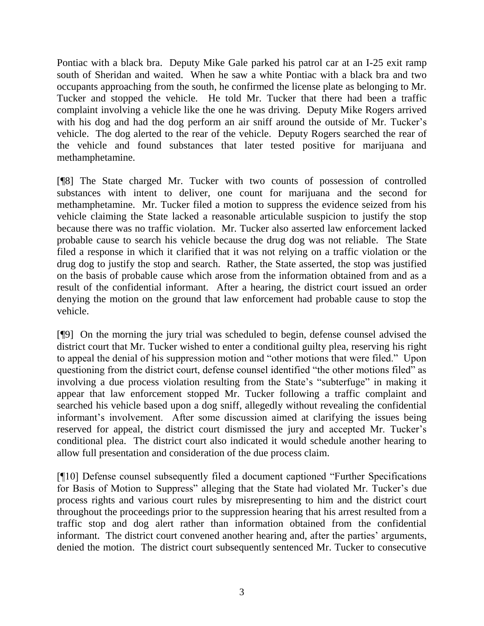Pontiac with a black bra. Deputy Mike Gale parked his patrol car at an I-25 exit ramp south of Sheridan and waited. When he saw a white Pontiac with a black bra and two occupants approaching from the south, he confirmed the license plate as belonging to Mr. Tucker and stopped the vehicle. He told Mr. Tucker that there had been a traffic complaint involving a vehicle like the one he was driving. Deputy Mike Rogers arrived with his dog and had the dog perform an air sniff around the outside of Mr. Tucker's vehicle. The dog alerted to the rear of the vehicle. Deputy Rogers searched the rear of the vehicle and found substances that later tested positive for marijuana and methamphetamine.

[¶8] The State charged Mr. Tucker with two counts of possession of controlled substances with intent to deliver, one count for marijuana and the second for methamphetamine. Mr. Tucker filed a motion to suppress the evidence seized from his vehicle claiming the State lacked a reasonable articulable suspicion to justify the stop because there was no traffic violation. Mr. Tucker also asserted law enforcement lacked probable cause to search his vehicle because the drug dog was not reliable. The State filed a response in which it clarified that it was not relying on a traffic violation or the drug dog to justify the stop and search. Rather, the State asserted, the stop was justified on the basis of probable cause which arose from the information obtained from and as a result of the confidential informant. After a hearing, the district court issued an order denying the motion on the ground that law enforcement had probable cause to stop the vehicle.

[¶9] On the morning the jury trial was scheduled to begin, defense counsel advised the district court that Mr. Tucker wished to enter a conditional guilty plea, reserving his right to appeal the denial of his suppression motion and "other motions that were filed." Upon questioning from the district court, defense counsel identified "the other motions filed" as involving a due process violation resulting from the State's "subterfuge" in making it appear that law enforcement stopped Mr. Tucker following a traffic complaint and searched his vehicle based upon a dog sniff, allegedly without revealing the confidential informant's involvement. After some discussion aimed at clarifying the issues being reserved for appeal, the district court dismissed the jury and accepted Mr. Tucker's conditional plea. The district court also indicated it would schedule another hearing to allow full presentation and consideration of the due process claim.

[¶10] Defense counsel subsequently filed a document captioned "Further Specifications for Basis of Motion to Suppress" alleging that the State had violated Mr. Tucker's due process rights and various court rules by misrepresenting to him and the district court throughout the proceedings prior to the suppression hearing that his arrest resulted from a traffic stop and dog alert rather than information obtained from the confidential informant. The district court convened another hearing and, after the parties' arguments, denied the motion. The district court subsequently sentenced Mr. Tucker to consecutive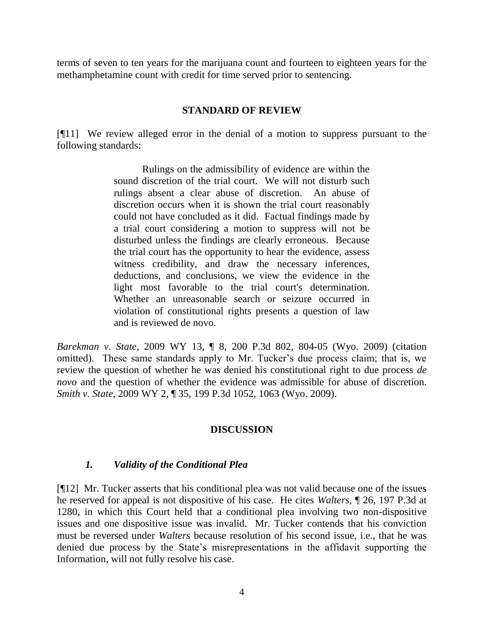terms of seven to ten years for the marijuana count and fourteen to eighteen years for the methamphetamine count with credit for time served prior to sentencing.

### **STANDARD OF REVIEW**

[¶11] We review alleged error in the denial of a motion to suppress pursuant to the following standards:

> Rulings on the admissibility of evidence are within the sound discretion of the trial court. We will not disturb such rulings absent a clear abuse of discretion. An abuse of discretion occurs when it is shown the trial court reasonably could not have concluded as it did. Factual findings made by a trial court considering a motion to suppress will not be disturbed unless the findings are clearly erroneous. Because the trial court has the opportunity to hear the evidence, assess witness credibility, and draw the necessary inferences, deductions, and conclusions, we view the evidence in the light most favorable to the trial court's determination. Whether an unreasonable search or seizure occurred in violation of constitutional rights presents a question of law and is reviewed de novo.

*Barekman v. State*, 2009 WY 13, ¶ 8, 200 P.3d 802, 804-05 (Wyo. 2009) (citation omitted). These same standards apply to Mr. Tucker's due process claim; that is, we review the question of whether he was denied his constitutional right to due process *de novo* and the question of whether the evidence was admissible for abuse of discretion. *Smith v. State*, 2009 WY 2, ¶ 35, 199 P.3d 1052, 1063 (Wyo. 2009).

## **DISCUSSION**

## *1. Validity of the Conditional Plea*

[¶12] Mr. Tucker asserts that his conditional plea was not valid because one of the issues he reserved for appeal is not dispositive of his case. He cites *Walters,* ¶ 26, 197 P.3d at 1280, in which this Court held that a conditional plea involving two non-dispositive issues and one dispositive issue was invalid. Mr. Tucker contends that his conviction must be reversed under *Walters* because resolution of his second issue, i.e., that he was denied due process by the State's misrepresentations in the affidavit supporting the Information, will not fully resolve his case.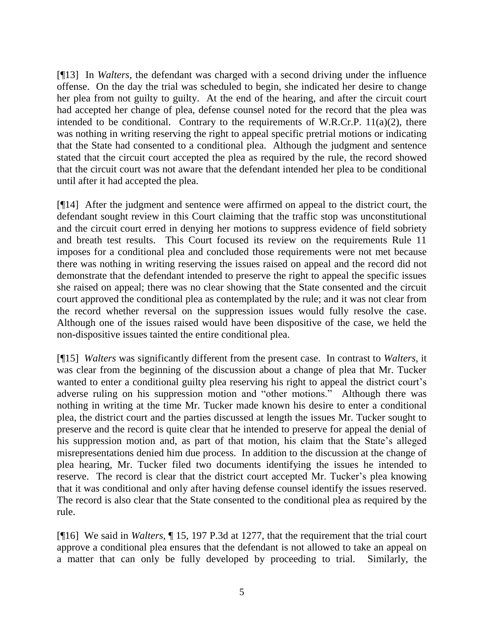[¶13] In *Walters*, the defendant was charged with a second driving under the influence offense. On the day the trial was scheduled to begin, she indicated her desire to change her plea from not guilty to guilty. At the end of the hearing, and after the circuit court had accepted her change of plea, defense counsel noted for the record that the plea was intended to be conditional. Contrary to the requirements of W.R.Cr.P.  $11(a)(2)$ , there was nothing in writing reserving the right to appeal specific pretrial motions or indicating that the State had consented to a conditional plea. Although the judgment and sentence stated that the circuit court accepted the plea as required by the rule, the record showed that the circuit court was not aware that the defendant intended her plea to be conditional until after it had accepted the plea.

[¶14] After the judgment and sentence were affirmed on appeal to the district court, the defendant sought review in this Court claiming that the traffic stop was unconstitutional and the circuit court erred in denying her motions to suppress evidence of field sobriety and breath test results. This Court focused its review on the requirements Rule 11 imposes for a conditional plea and concluded those requirements were not met because there was nothing in writing reserving the issues raised on appeal and the record did not demonstrate that the defendant intended to preserve the right to appeal the specific issues she raised on appeal; there was no clear showing that the State consented and the circuit court approved the conditional plea as contemplated by the rule; and it was not clear from the record whether reversal on the suppression issues would fully resolve the case. Although one of the issues raised would have been dispositive of the case, we held the non-dispositive issues tainted the entire conditional plea.

[¶15] *Walters* was significantly different from the present case. In contrast to *Walters*, it was clear from the beginning of the discussion about a change of plea that Mr. Tucker wanted to enter a conditional guilty plea reserving his right to appeal the district court's adverse ruling on his suppression motion and "other motions." Although there was nothing in writing at the time Mr. Tucker made known his desire to enter a conditional plea, the district court and the parties discussed at length the issues Mr. Tucker sought to preserve and the record is quite clear that he intended to preserve for appeal the denial of his suppression motion and, as part of that motion, his claim that the State's alleged misrepresentations denied him due process. In addition to the discussion at the change of plea hearing, Mr. Tucker filed two documents identifying the issues he intended to reserve. The record is clear that the district court accepted Mr. Tucker's plea knowing that it was conditional and only after having defense counsel identify the issues reserved. The record is also clear that the State consented to the conditional plea as required by the rule.

[¶16] We said in *Walters*, ¶ 15, 197 P.3d at 1277, that the requirement that the trial court approve a conditional plea ensures that the defendant is not allowed to take an appeal on a matter that can only be fully developed by proceeding to trial. Similarly, the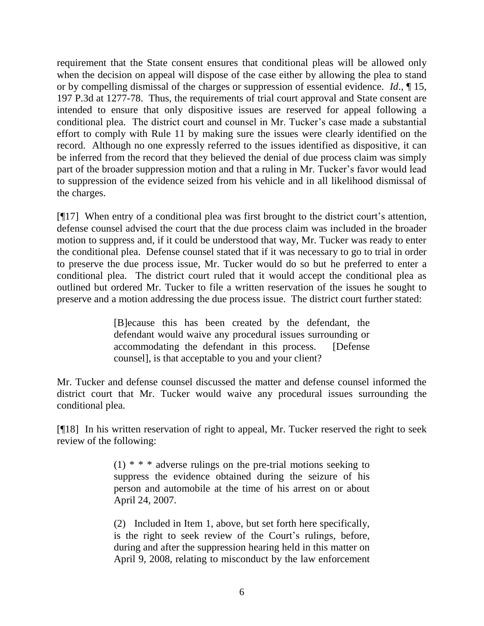requirement that the State consent ensures that conditional pleas will be allowed only when the decision on appeal will dispose of the case either by allowing the plea to stand or by compelling dismissal of the charges or suppression of essential evidence. *Id*., ¶ 15, 197 P.3d at 1277-78. Thus, the requirements of trial court approval and State consent are intended to ensure that only dispositive issues are reserved for appeal following a conditional plea. The district court and counsel in Mr. Tucker's case made a substantial effort to comply with Rule 11 by making sure the issues were clearly identified on the record. Although no one expressly referred to the issues identified as dispositive, it can be inferred from the record that they believed the denial of due process claim was simply part of the broader suppression motion and that a ruling in Mr. Tucker's favor would lead to suppression of the evidence seized from his vehicle and in all likelihood dismissal of the charges.

[¶17] When entry of a conditional plea was first brought to the district court's attention, defense counsel advised the court that the due process claim was included in the broader motion to suppress and, if it could be understood that way, Mr. Tucker was ready to enter the conditional plea. Defense counsel stated that if it was necessary to go to trial in order to preserve the due process issue, Mr. Tucker would do so but he preferred to enter a conditional plea. The district court ruled that it would accept the conditional plea as outlined but ordered Mr. Tucker to file a written reservation of the issues he sought to preserve and a motion addressing the due process issue. The district court further stated:

> [B]ecause this has been created by the defendant, the defendant would waive any procedural issues surrounding or accommodating the defendant in this process. [Defense counsel], is that acceptable to you and your client?

Mr. Tucker and defense counsel discussed the matter and defense counsel informed the district court that Mr. Tucker would waive any procedural issues surrounding the conditional plea.

[¶18] In his written reservation of right to appeal, Mr. Tucker reserved the right to seek review of the following:

> $(1)$  \* \* \* adverse rulings on the pre-trial motions seeking to suppress the evidence obtained during the seizure of his person and automobile at the time of his arrest on or about April 24, 2007.

> (2) Included in Item 1, above, but set forth here specifically, is the right to seek review of the Court's rulings, before, during and after the suppression hearing held in this matter on April 9, 2008, relating to misconduct by the law enforcement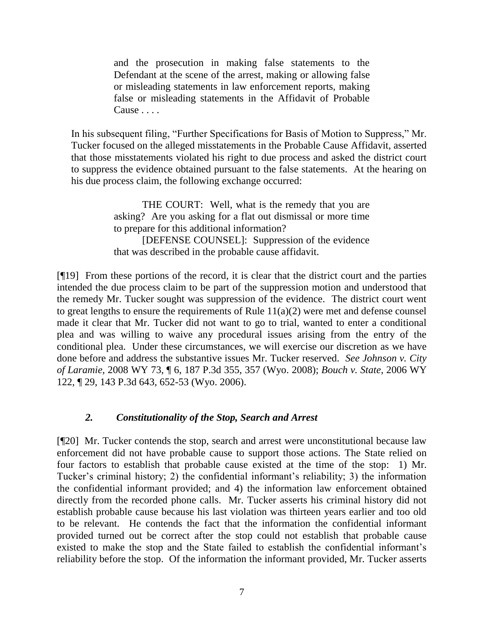and the prosecution in making false statements to the Defendant at the scene of the arrest, making or allowing false or misleading statements in law enforcement reports, making false or misleading statements in the Affidavit of Probable Cause . . . .

In his subsequent filing, "Further Specifications for Basis of Motion to Suppress," Mr. Tucker focused on the alleged misstatements in the Probable Cause Affidavit, asserted that those misstatements violated his right to due process and asked the district court to suppress the evidence obtained pursuant to the false statements. At the hearing on his due process claim, the following exchange occurred:

> THE COURT: Well, what is the remedy that you are asking? Are you asking for a flat out dismissal or more time to prepare for this additional information? [DEFENSE COUNSEL]: Suppression of the evidence that was described in the probable cause affidavit.

[¶19] From these portions of the record, it is clear that the district court and the parties intended the due process claim to be part of the suppression motion and understood that the remedy Mr. Tucker sought was suppression of the evidence. The district court went to great lengths to ensure the requirements of Rule  $11(a)(2)$  were met and defense counsel made it clear that Mr. Tucker did not want to go to trial, wanted to enter a conditional plea and was willing to waive any procedural issues arising from the entry of the conditional plea. Under these circumstances, we will exercise our discretion as we have done before and address the substantive issues Mr. Tucker reserved. *See Johnson v. City of Laramie*, 2008 WY 73, ¶ 6, 187 P.3d 355, 357 (Wyo. 2008); *Bouch v. State*, 2006 WY 122, ¶ 29, 143 P.3d 643, 652-53 (Wyo. 2006).

## *2. Constitutionality of the Stop, Search and Arrest*

[¶20] Mr. Tucker contends the stop, search and arrest were unconstitutional because law enforcement did not have probable cause to support those actions. The State relied on four factors to establish that probable cause existed at the time of the stop: 1) Mr. Tucker's criminal history; 2) the confidential informant's reliability; 3) the information the confidential informant provided; and 4) the information law enforcement obtained directly from the recorded phone calls. Mr. Tucker asserts his criminal history did not establish probable cause because his last violation was thirteen years earlier and too old to be relevant. He contends the fact that the information the confidential informant provided turned out be correct after the stop could not establish that probable cause existed to make the stop and the State failed to establish the confidential informant's reliability before the stop. Of the information the informant provided, Mr. Tucker asserts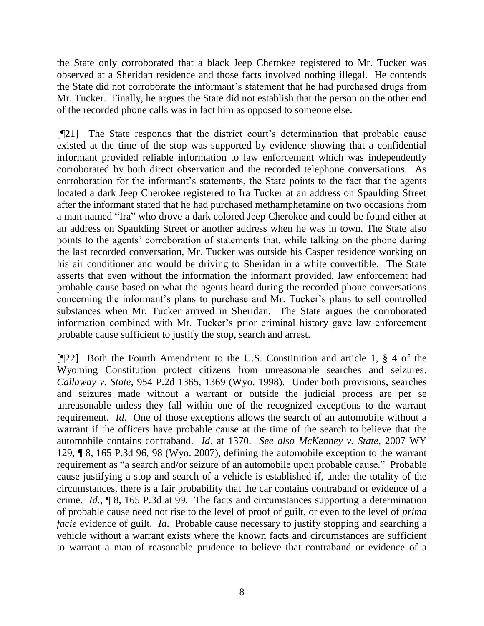the State only corroborated that a black Jeep Cherokee registered to Mr. Tucker was observed at a Sheridan residence and those facts involved nothing illegal. He contends the State did not corroborate the informant's statement that he had purchased drugs from Mr. Tucker. Finally, he argues the State did not establish that the person on the other end of the recorded phone calls was in fact him as opposed to someone else.

[¶21] The State responds that the district court's determination that probable cause existed at the time of the stop was supported by evidence showing that a confidential informant provided reliable information to law enforcement which was independently corroborated by both direct observation and the recorded telephone conversations. As corroboration for the informant's statements, the State points to the fact that the agents located a dark Jeep Cherokee registered to Ira Tucker at an address on Spaulding Street after the informant stated that he had purchased methamphetamine on two occasions from a man named "Ira" who drove a dark colored Jeep Cherokee and could be found either at an address on Spaulding Street or another address when he was in town. The State also points to the agents' corroboration of statements that, while talking on the phone during the last recorded conversation, Mr. Tucker was outside his Casper residence working on his air conditioner and would be driving to Sheridan in a white convertible. The State asserts that even without the information the informant provided, law enforcement had probable cause based on what the agents heard during the recorded phone conversations concerning the informant's plans to purchase and Mr. Tucker's plans to sell controlled substances when Mr. Tucker arrived in Sheridan. The State argues the corroborated information combined with Mr. Tucker's prior criminal history gave law enforcement probable cause sufficient to justify the stop, search and arrest.

[¶22] Both the Fourth Amendment to the U.S. Constitution and article 1, § 4 of the Wyoming Constitution protect citizens from unreasonable searches and seizures. *Callaway v. State*, 954 P.2d 1365, 1369 (Wyo. 1998). Under both provisions, searches and seizures made without a warrant or outside the judicial process are per se unreasonable unless they fall within one of the recognized exceptions to the warrant requirement. *Id*. One of those exceptions allows the search of an automobile without a warrant if the officers have probable cause at the time of the search to believe that the automobile contains contraband. *Id*. at 1370. *See also McKenney v. State*, 2007 WY 129, ¶ 8, 165 P.3d 96, 98 (Wyo. 2007), defining the automobile exception to the warrant requirement as "a search and/or seizure of an automobile upon probable cause." Probable cause justifying a stop and search of a vehicle is established if, under the totality of the circumstances, there is a fair probability that the car contains contraband or evidence of a crime. *Id.*, ¶ 8, 165 P.3d at 99. The facts and circumstances supporting a determination of probable cause need not rise to the level of proof of guilt, or even to the level of *prima facie* evidence of guilt. *Id*. Probable cause necessary to justify stopping and searching a vehicle without a warrant exists where the known facts and circumstances are sufficient to warrant a man of reasonable prudence to believe that contraband or evidence of a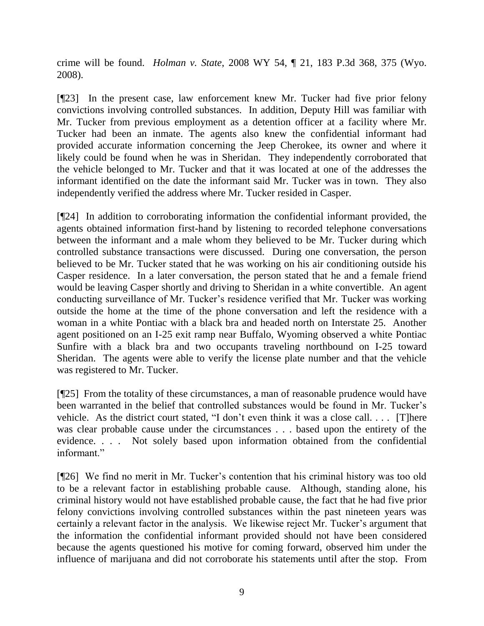crime will be found. *Holman v. State*, 2008 WY 54, ¶ 21, 183 P.3d 368, 375 (Wyo. 2008).

[¶23] In the present case, law enforcement knew Mr. Tucker had five prior felony convictions involving controlled substances. In addition, Deputy Hill was familiar with Mr. Tucker from previous employment as a detention officer at a facility where Mr. Tucker had been an inmate. The agents also knew the confidential informant had provided accurate information concerning the Jeep Cherokee, its owner and where it likely could be found when he was in Sheridan. They independently corroborated that the vehicle belonged to Mr. Tucker and that it was located at one of the addresses the informant identified on the date the informant said Mr. Tucker was in town. They also independently verified the address where Mr. Tucker resided in Casper.

[¶24] In addition to corroborating information the confidential informant provided, the agents obtained information first-hand by listening to recorded telephone conversations between the informant and a male whom they believed to be Mr. Tucker during which controlled substance transactions were discussed. During one conversation, the person believed to be Mr. Tucker stated that he was working on his air conditioning outside his Casper residence. In a later conversation, the person stated that he and a female friend would be leaving Casper shortly and driving to Sheridan in a white convertible. An agent conducting surveillance of Mr. Tucker's residence verified that Mr. Tucker was working outside the home at the time of the phone conversation and left the residence with a woman in a white Pontiac with a black bra and headed north on Interstate 25. Another agent positioned on an I-25 exit ramp near Buffalo, Wyoming observed a white Pontiac Sunfire with a black bra and two occupants traveling northbound on I-25 toward Sheridan. The agents were able to verify the license plate number and that the vehicle was registered to Mr. Tucker.

[¶25] From the totality of these circumstances, a man of reasonable prudence would have been warranted in the belief that controlled substances would be found in Mr. Tucker's vehicle. As the district court stated, "I don't even think it was a close call. . . . [T]here was clear probable cause under the circumstances . . . based upon the entirety of the evidence. . . . Not solely based upon information obtained from the confidential informant."

[¶26] We find no merit in Mr. Tucker's contention that his criminal history was too old to be a relevant factor in establishing probable cause. Although, standing alone, his criminal history would not have established probable cause, the fact that he had five prior felony convictions involving controlled substances within the past nineteen years was certainly a relevant factor in the analysis. We likewise reject Mr. Tucker's argument that the information the confidential informant provided should not have been considered because the agents questioned his motive for coming forward, observed him under the influence of marijuana and did not corroborate his statements until after the stop. From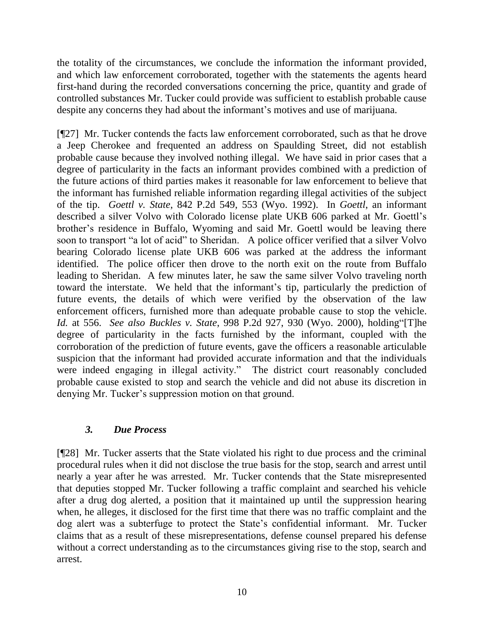the totality of the circumstances, we conclude the information the informant provided, and which law enforcement corroborated, together with the statements the agents heard first-hand during the recorded conversations concerning the price, quantity and grade of controlled substances Mr. Tucker could provide was sufficient to establish probable cause despite any concerns they had about the informant's motives and use of marijuana.

[¶27] Mr. Tucker contends the facts law enforcement corroborated, such as that he drove a Jeep Cherokee and frequented an address on Spaulding Street, did not establish probable cause because they involved nothing illegal. We have said in prior cases that a degree of particularity in the facts an informant provides combined with a prediction of the future actions of third parties makes it reasonable for law enforcement to believe that the informant has furnished reliable information regarding illegal activities of the subject of the tip. *Goettl v. State*, 842 P.2d 549, 553 (Wyo. 1992). In *Goettl*, an informant described a silver Volvo with Colorado license plate UKB 606 parked at Mr. Goettl's brother's residence in Buffalo, Wyoming and said Mr. Goettl would be leaving there soon to transport "a lot of acid" to Sheridan. A police officer verified that a silver Volvo bearing Colorado license plate UKB 606 was parked at the address the informant identified. The police officer then drove to the north exit on the route from Buffalo leading to Sheridan. A few minutes later, he saw the same silver Volvo traveling north toward the interstate. We held that the informant's tip, particularly the prediction of future events, the details of which were verified by the observation of the law enforcement officers, furnished more than adequate probable cause to stop the vehicle. *Id.* at 556. *See also Buckles v. State*, 998 P.2d 927, 930 (Wyo. 2000), holding"[T]he degree of particularity in the facts furnished by the informant, coupled with the corroboration of the prediction of future events, gave the officers a reasonable articulable suspicion that the informant had provided accurate information and that the individuals were indeed engaging in illegal activity." The district court reasonably concluded probable cause existed to stop and search the vehicle and did not abuse its discretion in denying Mr. Tucker's suppression motion on that ground.

## *3. Due Process*

[¶28] Mr. Tucker asserts that the State violated his right to due process and the criminal procedural rules when it did not disclose the true basis for the stop, search and arrest until nearly a year after he was arrested. Mr. Tucker contends that the State misrepresented that deputies stopped Mr. Tucker following a traffic complaint and searched his vehicle after a drug dog alerted, a position that it maintained up until the suppression hearing when, he alleges, it disclosed for the first time that there was no traffic complaint and the dog alert was a subterfuge to protect the State's confidential informant. Mr. Tucker claims that as a result of these misrepresentations, defense counsel prepared his defense without a correct understanding as to the circumstances giving rise to the stop, search and arrest.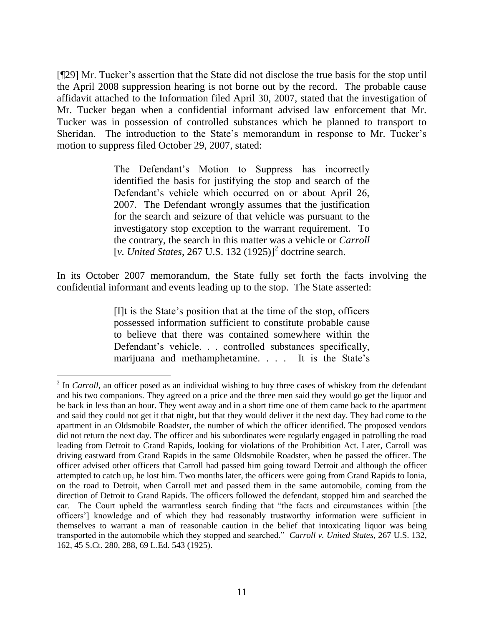[¶29] Mr. Tucker's assertion that the State did not disclose the true basis for the stop until the April 2008 suppression hearing is not borne out by the record. The probable cause affidavit attached to the Information filed April 30, 2007, stated that the investigation of Mr. Tucker began when a confidential informant advised law enforcement that Mr. Tucker was in possession of controlled substances which he planned to transport to Sheridan. The introduction to the State's memorandum in response to Mr. Tucker's motion to suppress filed October 29, 2007, stated:

> The Defendant's Motion to Suppress has incorrectly identified the basis for justifying the stop and search of the Defendant's vehicle which occurred on or about April 26, 2007. The Defendant wrongly assumes that the justification for the search and seizure of that vehicle was pursuant to the investigatory stop exception to the warrant requirement. To the contrary, the search in this matter was a vehicle or *Carroll* [v. United States, 267 U.S. 132 (1925)]<sup>2</sup> doctrine search.

In its October 2007 memorandum, the State fully set forth the facts involving the confidential informant and events leading up to the stop. The State asserted:

> [I]t is the State's position that at the time of the stop, officers possessed information sufficient to constitute probable cause to believe that there was contained somewhere within the Defendant's vehicle. . . controlled substances specifically, marijuana and methamphetamine. . . . It is the State's

l <sup>2</sup> In *Carroll*, an officer posed as an individual wishing to buy three cases of whiskey from the defendant and his two companions. They agreed on a price and the three men said they would go get the liquor and be back in less than an hour. They went away and in a short time one of them came back to the apartment and said they could not get it that night, but that they would deliver it the next day. They had come to the apartment in an Oldsmobile Roadster, the number of which the officer identified. The proposed vendors did not return the next day. The officer and his subordinates were regularly engaged in patrolling the road leading from Detroit to Grand Rapids, looking for violations of the Prohibition Act. Later, Carroll was driving eastward from Grand Rapids in the same Oldsmobile Roadster, when he passed the officer. The officer advised other officers that Carroll had passed him going toward Detroit and although the officer attempted to catch up, he lost him. Two months later, the officers were going from Grand Rapids to Ionia, on the road to Detroit, when Carroll met and passed them in the same automobile, coming from the direction of Detroit to Grand Rapids. The officers followed the defendant, stopped him and searched the car. The Court upheld the warrantless search finding that "the facts and circumstances within [the officers'] knowledge and of which they had reasonably trustworthy information were sufficient in themselves to warrant a man of reasonable caution in the belief that intoxicating liquor was being transported in the automobile which they stopped and searched." *Carroll v. United States*, 267 U.S. 132, 162, 45 S.Ct. 280, 288, 69 L.Ed. 543 (1925).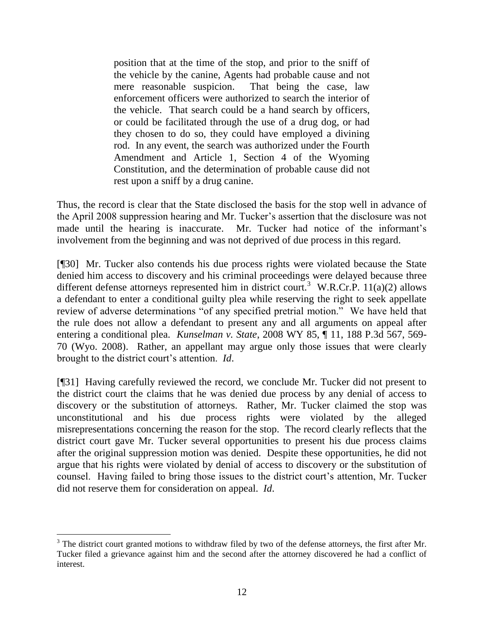position that at the time of the stop, and prior to the sniff of the vehicle by the canine, Agents had probable cause and not mere reasonable suspicion. That being the case, law enforcement officers were authorized to search the interior of the vehicle. That search could be a hand search by officers, or could be facilitated through the use of a drug dog, or had they chosen to do so, they could have employed a divining rod. In any event, the search was authorized under the Fourth Amendment and Article 1, Section 4 of the Wyoming Constitution, and the determination of probable cause did not rest upon a sniff by a drug canine.

Thus, the record is clear that the State disclosed the basis for the stop well in advance of the April 2008 suppression hearing and Mr. Tucker's assertion that the disclosure was not made until the hearing is inaccurate. Mr. Tucker had notice of the informant's involvement from the beginning and was not deprived of due process in this regard.

[¶30] Mr. Tucker also contends his due process rights were violated because the State denied him access to discovery and his criminal proceedings were delayed because three different defense attorneys represented him in district court.<sup>3</sup> W.R.Cr.P. 11(a)(2) allows a defendant to enter a conditional guilty plea while reserving the right to seek appellate review of adverse determinations "of any specified pretrial motion." We have held that the rule does not allow a defendant to present any and all arguments on appeal after entering a conditional plea. *Kunselman v. State*, 2008 WY 85, ¶ 11, 188 P.3d 567, 569- 70 (Wyo. 2008). Rather, an appellant may argue only those issues that were clearly brought to the district court's attention. *Id*.

[¶31] Having carefully reviewed the record, we conclude Mr. Tucker did not present to the district court the claims that he was denied due process by any denial of access to discovery or the substitution of attorneys. Rather, Mr. Tucker claimed the stop was unconstitutional and his due process rights were violated by the alleged misrepresentations concerning the reason for the stop. The record clearly reflects that the district court gave Mr. Tucker several opportunities to present his due process claims after the original suppression motion was denied. Despite these opportunities, he did not argue that his rights were violated by denial of access to discovery or the substitution of counsel. Having failed to bring those issues to the district court's attention, Mr. Tucker did not reserve them for consideration on appeal. *Id*.

<sup>&</sup>lt;sup>3</sup> The district court granted motions to withdraw filed by two of the defense attorneys, the first after Mr. Tucker filed a grievance against him and the second after the attorney discovered he had a conflict of interest.